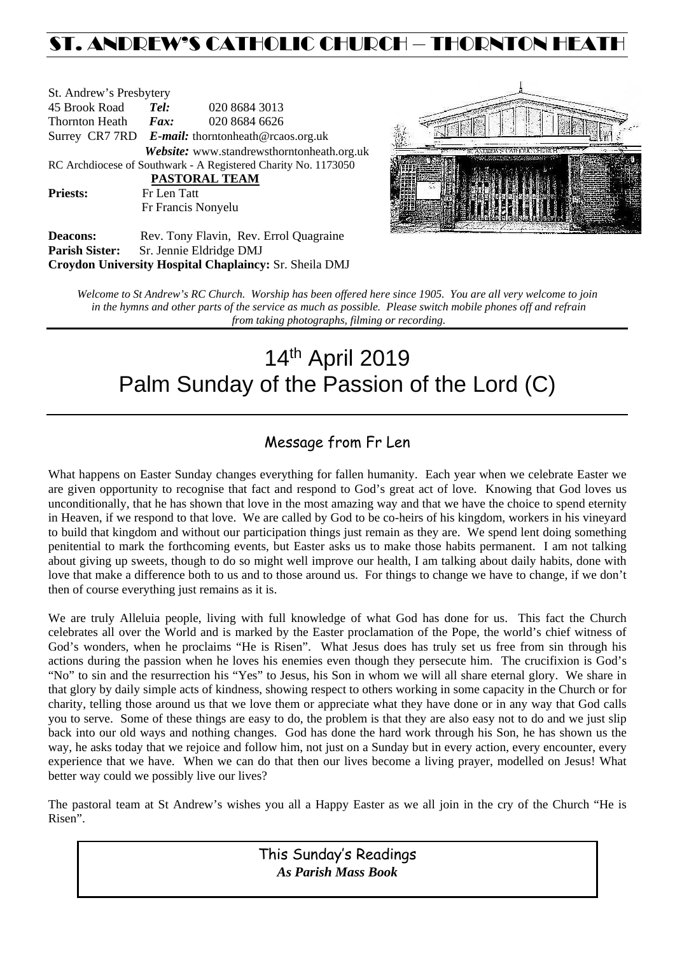## ST. ANDREW'S CATHOLIC CHURCH – THORNTON HEAT

| Tel:                                                           | 020 8684 3013                                          |  |  |  |  |
|----------------------------------------------------------------|--------------------------------------------------------|--|--|--|--|
|                                                                | 020 8684 6626                                          |  |  |  |  |
| Surrey CR7 7RD $E$ -mail: thorntonheath@rcaos.org.uk           |                                                        |  |  |  |  |
|                                                                | Website: www.standrewsthorntonheath.org.uk             |  |  |  |  |
| RC Archdiocese of Southwark - A Registered Charity No. 1173050 |                                                        |  |  |  |  |
| PASTORAL TEAM                                                  |                                                        |  |  |  |  |
| Fr Len Tatt                                                    |                                                        |  |  |  |  |
|                                                                | Fr Francis Nonyelu                                     |  |  |  |  |
|                                                                | St. Andrew's Presbytery<br>Thornton Heath <i>Fax</i> : |  |  |  |  |



**Deacons:** Rev. Tony Flavin, Rev. Errol Quagraine **Parish Sister:** Sr. Jennie Eldridge DMJ **Croydon University Hospital Chaplaincy:** Sr. Sheila DMJ

*Welcome to St Andrew's RC Church. Worship has been offered here since 1905. You are all very welcome to join in the hymns and other parts of the service as much as possible. Please switch mobile phones off and refrain from taking photographs, filming or recording.*

# 14th April 2019 Palm Sunday of the Passion of the Lord (C)

### Message from Fr Len

What happens on Easter Sunday changes everything for fallen humanity. Each year when we celebrate Easter we are given opportunity to recognise that fact and respond to God's great act of love. Knowing that God loves us unconditionally, that he has shown that love in the most amazing way and that we have the choice to spend eternity in Heaven, if we respond to that love. We are called by God to be co-heirs of his kingdom, workers in his vineyard to build that kingdom and without our participation things just remain as they are. We spend lent doing something penitential to mark the forthcoming events, but Easter asks us to make those habits permanent. I am not talking about giving up sweets, though to do so might well improve our health, I am talking about daily habits, done with love that make a difference both to us and to those around us. For things to change we have to change, if we don't then of course everything just remains as it is.

We are truly Alleluia people, living with full knowledge of what God has done for us. This fact the Church celebrates all over the World and is marked by the Easter proclamation of the Pope, the world's chief witness of God's wonders, when he proclaims "He is Risen". What Jesus does has truly set us free from sin through his actions during the passion when he loves his enemies even though they persecute him. The crucifixion is God's "No" to sin and the resurrection his "Yes" to Jesus, his Son in whom we will all share eternal glory. We share in that glory by daily simple acts of kindness, showing respect to others working in some capacity in the Church or for charity, telling those around us that we love them or appreciate what they have done or in any way that God calls you to serve. Some of these things are easy to do, the problem is that they are also easy not to do and we just slip back into our old ways and nothing changes. God has done the hard work through his Son, he has shown us the way, he asks today that we rejoice and follow him, not just on a Sunday but in every action, every encounter, every experience that we have. When we can do that then our lives become a living prayer, modelled on Jesus! What better way could we possibly live our lives?

The pastoral team at St Andrew's wishes you all a Happy Easter as we all join in the cry of the Church "He is Risen".

| This Sunday's Readings     |
|----------------------------|
| <b>As Parish Mass Book</b> |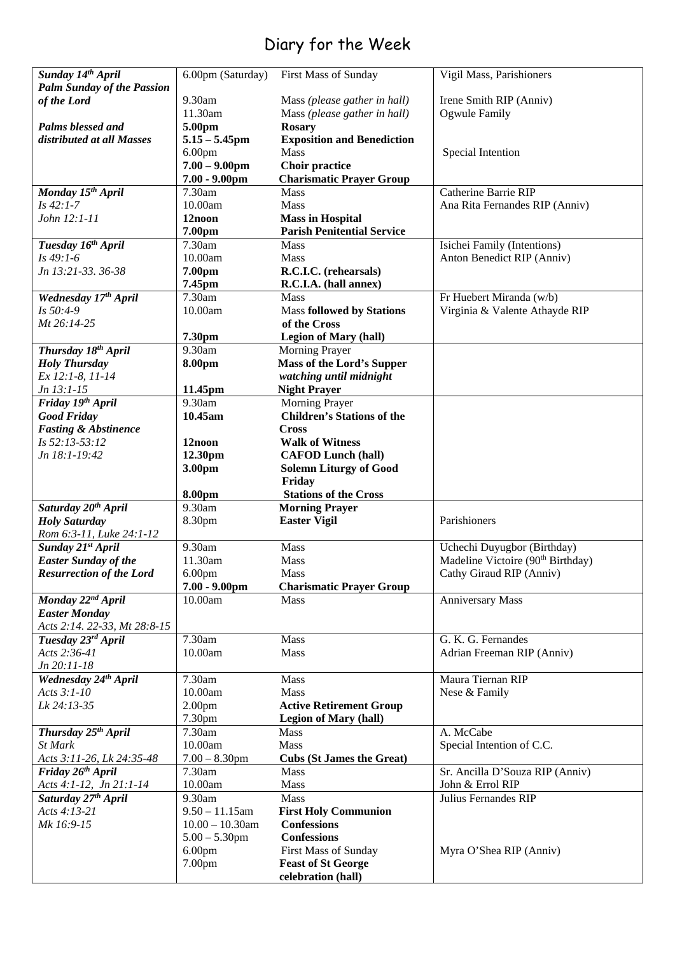## Diary for the Week

|                                                        | 6.00pm (Saturday)  | First Mass of Sunday                            | Vigil Mass, Parishioners                      |
|--------------------------------------------------------|--------------------|-------------------------------------------------|-----------------------------------------------|
| Sunday 14th April<br><b>Palm Sunday of the Passion</b> |                    |                                                 |                                               |
| of the Lord                                            | 9.30am             | Mass (please gather in hall)                    | Irene Smith RIP (Anniv)                       |
|                                                        | 11.30am            | Mass (please gather in hall)                    | Ogwule Family                                 |
| Palms blessed and                                      | 5.00pm             | <b>Rosary</b>                                   |                                               |
| distributed at all Masses                              | $5.15 - 5.45$ pm   | <b>Exposition and Benediction</b>               |                                               |
|                                                        | 6.00 <sub>pm</sub> | <b>Mass</b>                                     | Special Intention                             |
|                                                        | $7.00 - 9.00$ pm   | <b>Choir practice</b>                           |                                               |
|                                                        | $7.00 - 9.00$ pm   | <b>Charismatic Prayer Group</b>                 |                                               |
| Monday 15 <sup>th</sup> April                          | 7.30am             | <b>Mass</b>                                     | Catherine Barrie RIP                          |
| $Is 42:1-7$                                            | 10.00am            | <b>Mass</b>                                     | Ana Rita Fernandes RIP (Anniv)                |
| John 12:1-11                                           | 12noon             | <b>Mass in Hospital</b>                         |                                               |
|                                                        | 7.00pm             | <b>Parish Penitential Service</b>               |                                               |
| Tuesday 16th April                                     | 7.30am             | Mass                                            | Isichei Family (Intentions)                   |
| $Is 49:1-6$                                            | 10.00am            | <b>Mass</b>                                     | Anton Benedict RIP (Anniv)                    |
| Jn 13:21-33. 36-38                                     | 7.00pm             | R.C.I.C. (rehearsals)                           |                                               |
|                                                        | 7.45pm             | R.C.I.A. (hall annex)                           |                                               |
| Wednesday 17th April                                   | 7.30am             | <b>Mass</b>                                     | Fr Huebert Miranda (w/b)                      |
| Is 50:4-9                                              | 10.00am            | <b>Mass followed by Stations</b>                |                                               |
| Mt 26:14-25                                            |                    | of the Cross                                    | Virginia & Valente Athayde RIP                |
|                                                        |                    |                                                 |                                               |
|                                                        | 7.30pm             | <b>Legion of Mary (hall)</b>                    |                                               |
| Thursday 18th April                                    | 9.30am             | Morning Prayer                                  |                                               |
| <b>Holy Thursday</b>                                   | 8.00pm             | <b>Mass of the Lord's Supper</b>                |                                               |
| Ex 12:1-8, 11-14                                       |                    | watching until midnight                         |                                               |
| Jn 13:1-15                                             | 11.45pm            | <b>Night Prayer</b>                             |                                               |
| Friday 19th April                                      | 9.30am             | Morning Prayer                                  |                                               |
| <b>Good Friday</b>                                     | 10.45am            | <b>Children's Stations of the</b>               |                                               |
| <b>Fasting &amp; Abstinence</b>                        |                    | <b>Cross</b>                                    |                                               |
| Is 52:13-53:12                                         | 12noon             | <b>Walk of Witness</b>                          |                                               |
| Jn 18:1-19:42                                          | 12.30pm            | <b>CAFOD Lunch (hall)</b>                       |                                               |
|                                                        | 3.00pm             | <b>Solemn Liturgy of Good</b>                   |                                               |
|                                                        |                    | Friday                                          |                                               |
|                                                        | 8.00pm             | <b>Stations of the Cross</b>                    |                                               |
| Saturday 20 <sup>th</sup> April                        | 9.30am             | <b>Morning Prayer</b>                           |                                               |
|                                                        |                    |                                                 | Parishioners                                  |
| <b>Holy Saturday</b>                                   | 8.30pm             | <b>Easter Vigil</b>                             |                                               |
| Rom 6:3-11, Luke 24:1-12                               |                    |                                                 |                                               |
| Sunday 21st April                                      | 9.30am             | Mass                                            | Uchechi Duyugbor (Birthday)                   |
| <b>Easter Sunday of the</b>                            | 11.30am            | <b>Mass</b>                                     | Madeline Victoire (90 <sup>th</sup> Birthday) |
| <b>Resurrection of the Lord</b>                        | 6.00 <sub>pm</sub> | <b>Mass</b>                                     | Cathy Giraud RIP (Anniv)                      |
|                                                        | $7.00 - 9.00$ pm   | <b>Charismatic Prayer Group</b>                 |                                               |
| Monday 22 <sup>nd</sup> April                          | 10.00am            | Mass                                            | <b>Anniversary Mass</b>                       |
| <b>Easter Monday</b>                                   |                    |                                                 |                                               |
| Acts 2:14. 22-33, Mt 28:8-15                           |                    |                                                 |                                               |
| Tuesday 23rd April                                     | 7.30am             | Mass                                            | G. K. G. Fernandes                            |
| Acts 2:36-41                                           | 10.00am            | <b>Mass</b>                                     | Adrian Freeman RIP (Anniv)                    |
| Jn 20:11-18                                            |                    |                                                 |                                               |
| Wednesday 24th April                                   | 7.30am             | Mass                                            | Maura Tiernan RIP                             |
| Acts 3:1-10                                            | 10.00am            | Mass                                            | Nese & Family                                 |
| Lk 24:13-35                                            | 2.00 <sub>pm</sub> | <b>Active Retirement Group</b>                  |                                               |
|                                                        | 7.30pm             | <b>Legion of Mary (hall)</b>                    |                                               |
| Thursday 25 <sup>th</sup> April                        | 7.30am             | <b>Mass</b>                                     | A. McCabe                                     |
| St Mark                                                | 10.00am            | <b>Mass</b>                                     | Special Intention of C.C.                     |
| Acts 3:11-26, Lk 24:35-48                              | $7.00 - 8.30$ pm   | <b>Cubs (St James the Great)</b>                |                                               |
| Friday 26th April                                      | 7.30am             | <b>Mass</b>                                     | Sr. Ancilla D'Souza RIP (Anniv)               |
| Acts 4:1-12, Jn 21:1-14                                | 10.00am            | Mass                                            | John & Errol RIP                              |
| Saturday 27th April                                    | 9.30am             | <b>Mass</b>                                     | Julius Fernandes RIP                          |
| Acts 4:13-21                                           | $9.50 - 11.15$ am  | <b>First Holy Communion</b>                     |                                               |
| Mk 16:9-15                                             | $10.00 - 10.30$ am | <b>Confessions</b>                              |                                               |
|                                                        | $5.00 - 5.30$ pm   | <b>Confessions</b>                              |                                               |
|                                                        | 6.00 <sub>pm</sub> | First Mass of Sunday                            | Myra O'Shea RIP (Anniv)                       |
|                                                        | 7.00pm             | <b>Feast of St George</b><br>celebration (hall) |                                               |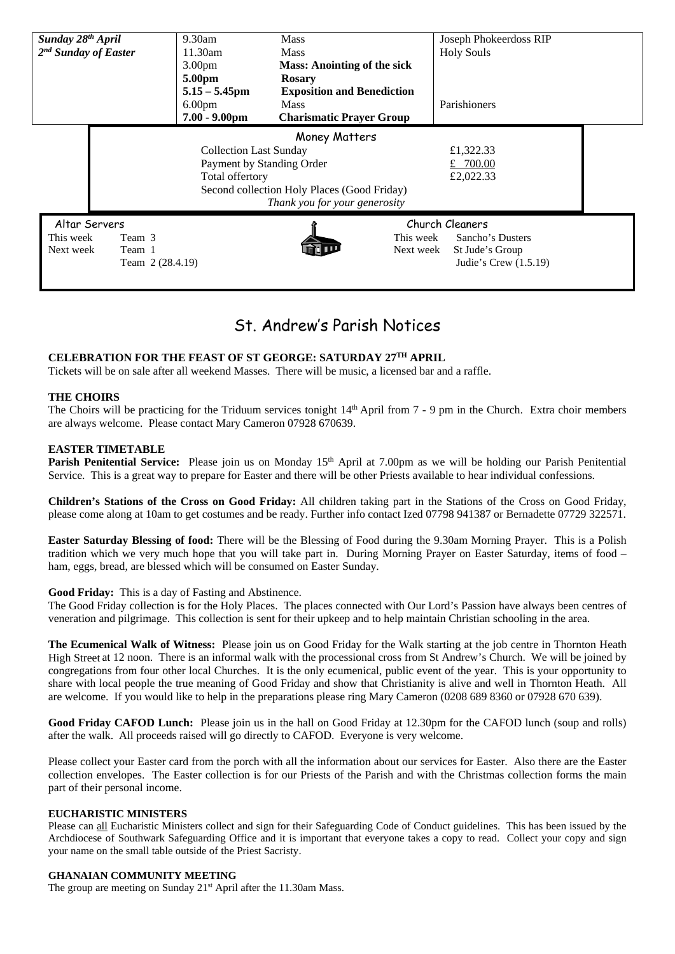| Sunday 28 <sup>th</sup> April    |                                             | $9.30$ am          | <b>Mass</b>                        | Joseph Phokeerdoss RIP |  |  |
|----------------------------------|---------------------------------------------|--------------------|------------------------------------|------------------------|--|--|
| $2nd$ Sunday of Easter           |                                             | 11.30am            | <b>Mass</b>                        | <b>Holy Souls</b>      |  |  |
|                                  |                                             | 3.00 <sub>pm</sub> | <b>Mass: Anointing of the sick</b> |                        |  |  |
|                                  |                                             | 5.00pm             | <b>Rosary</b>                      |                        |  |  |
|                                  |                                             | $5.15 - 5.45$ pm   | <b>Exposition and Benediction</b>  |                        |  |  |
|                                  |                                             | 6.00 <sub>pm</sub> | <b>Mass</b>                        | Parishioners           |  |  |
|                                  |                                             | $7.00 - 9.00$ pm   | <b>Charismatic Prayer Group</b>    |                        |  |  |
|                                  | Money Matters                               |                    |                                    |                        |  |  |
| <b>Collection Last Sunday</b>    |                                             | £1,322.33          |                                    |                        |  |  |
| Payment by Standing Order        |                                             |                    | £ $700.00$                         |                        |  |  |
| Total offertory                  |                                             | £2,022.33          |                                    |                        |  |  |
|                                  | Second collection Holy Places (Good Friday) |                    |                                    |                        |  |  |
| Thank you for your generosity    |                                             |                    |                                    |                        |  |  |
| Altar Servers<br>Church Cleaners |                                             |                    |                                    |                        |  |  |
| This week                        | Team 3                                      |                    | This week                          | Sancho's Dusters       |  |  |
| Next week                        | Team 1                                      |                    | Next week                          | St Jude's Group        |  |  |
|                                  | Team 2 (28.4.19)                            |                    |                                    | Judie's Crew (1.5.19)  |  |  |
|                                  |                                             |                    |                                    |                        |  |  |

### St. Andrew's Parish Notices

#### **CELEBRATION FOR THE FEAST OF ST GEORGE: SATURDAY 27TH APRIL**

Tickets will be on sale after all weekend Masses. There will be music, a licensed bar and a raffle.

#### **THE CHOIRS**

The Choirs will be practicing for the Triduum services tonight 14<sup>th</sup> April from 7 - 9 pm in the Church. Extra choir members are always welcome. Please contact Mary Cameron 07928 670639.

#### **EASTER TIMETABLE**

Parish Penitential Service: Please join us on Monday 15<sup>th</sup> April at 7.00pm as we will be holding our Parish Penitential Service. This is a great way to prepare for Easter and there will be other Priests available to hear individual confessions.

**Children's Stations of the Cross on Good Friday:** All children taking part in the Stations of the Cross on Good Friday, please come along at 10am to get costumes and be ready. Further info contact Ized 07798 941387 or Bernadette 07729 322571.

**Easter Saturday Blessing of food:** There will be the Blessing of Food during the 9.30am Morning Prayer. This is a Polish tradition which we very much hope that you will take part in. During Morning Prayer on Easter Saturday, items of food – ham, eggs, bread, are blessed which will be consumed on Easter Sunday.

#### **Good Friday:** This is a day of Fasting and Abstinence.

The Good Friday collection is for the Holy Places. The places connected with Our Lord's Passion have always been centres of veneration and pilgrimage. This collection is sent for their upkeep and to help maintain Christian schooling in the area.

**The Ecumenical Walk of Witness:** Please join us on Good Friday for the Walk starting at the job centre in Thornton Heath High Street at 12 noon. There is an informal walk with the processional cross from St Andrew's Church. We will be joined by congregations from four other local Churches. It is the only ecumenical, public event of the year. This is your opportunity to share with local people the true meaning of Good Friday and show that Christianity is alive and well in Thornton Heath. All are welcome. If you would like to help in the preparations please ring Mary Cameron (0208 689 8360 or 07928 670 639).

**Good Friday CAFOD Lunch:** Please join us in the hall on Good Friday at 12.30pm for the CAFOD lunch (soup and rolls) after the walk. All proceeds raised will go directly to CAFOD. Everyone is very welcome.

Please collect your Easter card from the porch with all the information about our services for Easter. Also there are the Easter collection envelopes. The Easter collection is for our Priests of the Parish and with the Christmas collection forms the main part of their personal income.

#### **EUCHARISTIC MINISTERS**

Please can all Eucharistic Ministers collect and sign for their Safeguarding Code of Conduct guidelines. This has been issued by the Archdiocese of Southwark Safeguarding Office and it is important that everyone takes a copy to read. Collect your copy and sign your name on the small table outside of the Priest Sacristy.

#### **GHANAIAN COMMUNITY MEETING**

The group are meeting on Sunday  $21<sup>st</sup>$  April after the 11.30am Mass.